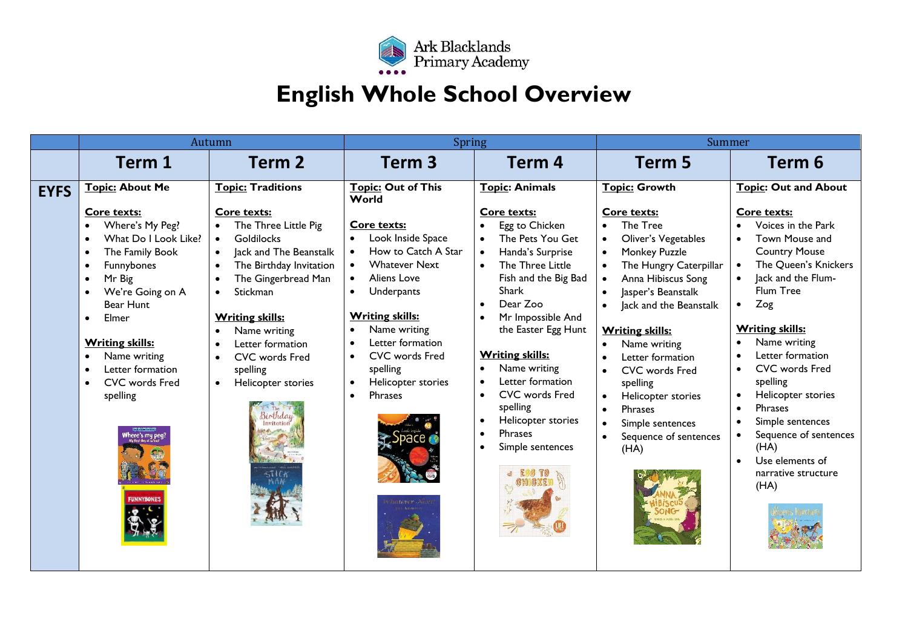

## **English Whole School Overview**

|             | Autumn                                                                                                                                                                                                                                                                                                                                                                                                              |                                                                                                                                                                                                                                                                                                                                                                                                                                      | <b>Spring</b>                                                                                                                                                                                                                                                                                                                                                                                                 |                                                                                                                                                                                                                                                                                                                                                                                                                                             | Summer                                                                                                                                                                                                                                                                                                                                                                           |                                                                                                                                                                                                                                                                                                                                                                                                                                                                                  |
|-------------|---------------------------------------------------------------------------------------------------------------------------------------------------------------------------------------------------------------------------------------------------------------------------------------------------------------------------------------------------------------------------------------------------------------------|--------------------------------------------------------------------------------------------------------------------------------------------------------------------------------------------------------------------------------------------------------------------------------------------------------------------------------------------------------------------------------------------------------------------------------------|---------------------------------------------------------------------------------------------------------------------------------------------------------------------------------------------------------------------------------------------------------------------------------------------------------------------------------------------------------------------------------------------------------------|---------------------------------------------------------------------------------------------------------------------------------------------------------------------------------------------------------------------------------------------------------------------------------------------------------------------------------------------------------------------------------------------------------------------------------------------|----------------------------------------------------------------------------------------------------------------------------------------------------------------------------------------------------------------------------------------------------------------------------------------------------------------------------------------------------------------------------------|----------------------------------------------------------------------------------------------------------------------------------------------------------------------------------------------------------------------------------------------------------------------------------------------------------------------------------------------------------------------------------------------------------------------------------------------------------------------------------|
|             | Term 1                                                                                                                                                                                                                                                                                                                                                                                                              | Term <sub>2</sub>                                                                                                                                                                                                                                                                                                                                                                                                                    | Term <sub>3</sub>                                                                                                                                                                                                                                                                                                                                                                                             | Term <sub>4</sub>                                                                                                                                                                                                                                                                                                                                                                                                                           | Term 5                                                                                                                                                                                                                                                                                                                                                                           | Term 6                                                                                                                                                                                                                                                                                                                                                                                                                                                                           |
| <b>EYFS</b> | <b>Topic: About Me</b><br>Core texts:<br>Where's My Peg?<br>$\bullet$<br>What Do I Look Like?<br>$\bullet$<br>The Family Book<br>$\bullet$<br>Funnybones<br>$\bullet$<br>Mr Big<br>$\bullet$<br>We're Going on A<br>$\bullet$<br>Bear Hunt<br>Elmer<br>$\bullet$<br><b>Writing skills:</b><br>Name writing<br>$\bullet$<br>Letter formation<br>$\bullet$<br>CVC words Fred<br>$\bullet$<br>spelling<br>nere's my pe | <b>Topic: Traditions</b><br>Core texts:<br>The Three Little Pig<br><b>Goldilocks</b><br>$\bullet$<br>lack and The Beanstalk<br>$\bullet$<br>The Birthday Invitation<br>$\bullet$<br>The Gingerbread Man<br>$\bullet$<br>Stickman<br>$\bullet$<br><b>Writing skills:</b><br>Name writing<br>$\bullet$<br>Letter formation<br>$\bullet$<br><b>CVC</b> words Fred<br>$\bullet$<br>spelling<br>Helicopter stories<br>$\bullet$<br>rthdai | <b>Topic: Out of This</b><br>World<br>Core texts:<br>Look Inside Space<br>$\bullet$<br>How to Catch A Star<br><b>Whatever Next</b><br>$\bullet$<br>Aliens Love<br>$\bullet$<br>Underpants<br>$\bullet$<br><b>Writing skills:</b><br>Name writing<br>$\bullet$<br>Letter formation<br>$\bullet$<br>CVC words Fred<br>$\bullet$<br>spelling<br>Helicopter stories<br>$\bullet$<br>Phrases<br>$\bullet$<br>эрасе | <b>Topic: Animals</b><br>Core texts:<br>Egg to Chicken<br>The Pets You Get<br>Handa's Surprise<br>$\bullet$<br>The Three Little<br>Fish and the Big Bad<br>Shark<br>Dear Zoo<br>Mr Impossible And<br>the Easter Egg Hunt<br><b>Writing skills:</b><br>Name writing<br>$\bullet$<br>Letter formation<br><b>CVC</b> words Fred<br>$\bullet$<br>spelling<br>Helicopter stories<br>$\bullet$<br><b>Phrases</b><br>Simple sentences<br>$\bullet$ | <b>Topic: Growth</b><br>Core texts:<br>The Tree<br>Oliver's Vegetables<br>Monkey Puzzle<br>The Hungry Caterpillar<br>Anna Hibiscus Song<br>Jasper's Beanstalk<br>Jack and the Beanstalk<br><b>Writing skills:</b><br>Name writing<br>Letter formation<br>CVC words Fred<br>spelling<br>Helicopter stories<br><b>Phrases</b><br>Simple sentences<br>Sequence of sentences<br>(HA) | <b>Topic: Out and About</b><br>Core texts:<br>Voices in the Park<br>Town Mouse and<br><b>Country Mouse</b><br>The Queen's Knickers<br>Jack and the Flum-<br>Flum Tree<br>Zog<br>$\bullet$<br><b>Writing skills:</b><br>Name writing<br>Letter formation<br><b>CVC</b> words Fred<br>$\bullet$<br>spelling<br>Helicopter stories<br>$\bullet$<br>Phrases<br>$\bullet$<br>Simple sentences<br>Sequence of sentences<br>(HA)<br>Use elements of<br>$\bullet$<br>narrative structure |
|             | <b>FUNNYBONES</b>                                                                                                                                                                                                                                                                                                                                                                                                   |                                                                                                                                                                                                                                                                                                                                                                                                                                      |                                                                                                                                                                                                                                                                                                                                                                                                               |                                                                                                                                                                                                                                                                                                                                                                                                                                             |                                                                                                                                                                                                                                                                                                                                                                                  | (HA)                                                                                                                                                                                                                                                                                                                                                                                                                                                                             |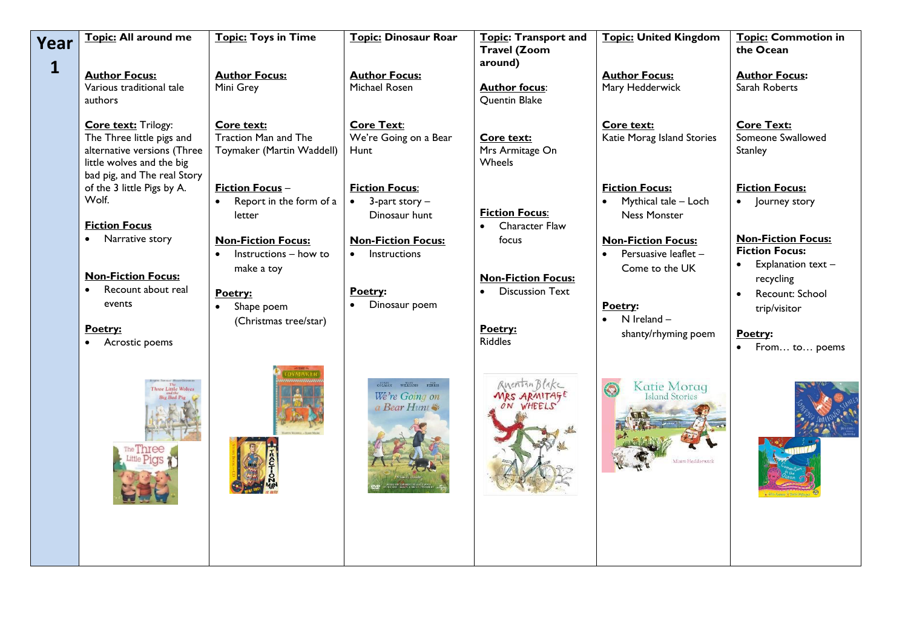| Year         | Topic: All around me                                                                                                                        | <b>Topic: Toys in Time</b>                                                               | <b>Topic: Dinosaur Roar</b>                                                | Topic: Transport and<br><b>Travel (Zoom</b>                  | <b>Topic: United Kingdom</b>                                         | <b>Topic: Commotion in</b><br>the Ocean                                                                              |
|--------------|---------------------------------------------------------------------------------------------------------------------------------------------|------------------------------------------------------------------------------------------|----------------------------------------------------------------------------|--------------------------------------------------------------|----------------------------------------------------------------------|----------------------------------------------------------------------------------------------------------------------|
| $\mathbf{1}$ | <b>Author Focus:</b><br>Various traditional tale<br>authors                                                                                 | <b>Author Focus:</b><br>Mini Grey                                                        | <b>Author Focus:</b><br>Michael Rosen                                      | around)<br><b>Author focus:</b><br>Quentin Blake             | <b>Author Focus:</b><br>Mary Hedderwick                              | <b>Author Focus:</b><br>Sarah Roberts                                                                                |
|              | Core text: Trilogy:<br>The Three little pigs and<br>alternative versions (Three<br>little wolves and the big<br>bad pig, and The real Story | Core text:<br><b>Traction Man and The</b><br>Toymaker (Martin Waddell)                   | <b>Core Text:</b><br>We're Going on a Bear<br>Hunt                         | Core text:<br>Mrs Armitage On<br>Wheels                      | Core text:<br>Katie Morag Island Stories                             | <b>Core Text:</b><br>Someone Swallowed<br><b>Stanley</b>                                                             |
|              | of the 3 little Pigs by A.<br>Wolf.<br><b>Fiction Focus</b>                                                                                 | <b>Fiction Focus-</b><br>Report in the form of a<br>$\bullet$<br>letter                  | <b>Fiction Focus:</b><br>$3$ -part story $-$<br>$\bullet$<br>Dinosaur hunt | <b>Fiction Focus:</b><br>Character Flaw                      | <b>Fiction Focus:</b><br>Mythical tale - Loch<br><b>Ness Monster</b> | <b>Fiction Focus:</b><br>Journey story                                                                               |
|              | Narrative story<br><b>Non-Fiction Focus:</b><br>Recount about real                                                                          | <b>Non-Fiction Focus:</b><br>Instructions - how to<br>$\bullet$<br>make a toy<br>Poetry: | <b>Non-Fiction Focus:</b><br>Instructions<br>$\bullet$<br>Poetry:          | focus<br><b>Non-Fiction Focus:</b><br><b>Discussion Text</b> | <b>Non-Fiction Focus:</b><br>Persuasive leaflet -<br>Come to the UK  | <b>Non-Fiction Focus:</b><br><b>Fiction Focus:</b><br>Explanation text-<br>$\bullet$<br>recycling<br>Recount: School |
|              | events<br>Poetry:<br>Acrostic poems                                                                                                         | Shape poem<br>(Christmas tree/star)                                                      | Dinosaur poem                                                              | Poetry:<br><b>Riddles</b>                                    | Poetry:<br>N Ireland-<br>$\bullet$<br>shanty/rhyming poem            | trip/visitor<br>Poetry:<br>From to poems                                                                             |
|              |                                                                                                                                             |                                                                                          | We're Going on<br>a Bear Hunt                                              | Auentin Blake<br>MRS ARMITAGE<br>ON WHEELS                   | Katie Morag<br><b>Island Stories</b><br>Minist Hedderwick            |                                                                                                                      |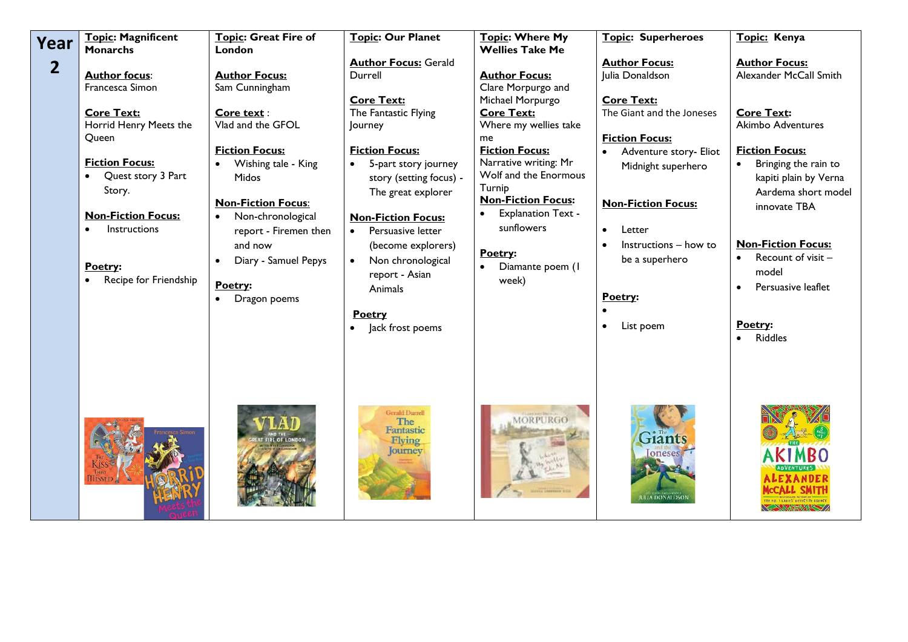| Year         | <b>Topic: Magnificent</b><br><b>Monarchs</b>                                                                                                                                                                                              | Topic: Great Fire of<br>London                                                                                                                                                                                                                                              | Topic: Our Planet                                                                                                                                                                                                                                                                                                                                                                         | Topic: Where My<br><b>Wellies Take Me</b>                                                                                                                                                                                                                                                                               | <b>Topic: Superheroes</b>                                                                                                                                                                                                                                                                              | Topic: Kenya                                                                                                                                                                                                                                                                                                                                                                 |
|--------------|-------------------------------------------------------------------------------------------------------------------------------------------------------------------------------------------------------------------------------------------|-----------------------------------------------------------------------------------------------------------------------------------------------------------------------------------------------------------------------------------------------------------------------------|-------------------------------------------------------------------------------------------------------------------------------------------------------------------------------------------------------------------------------------------------------------------------------------------------------------------------------------------------------------------------------------------|-------------------------------------------------------------------------------------------------------------------------------------------------------------------------------------------------------------------------------------------------------------------------------------------------------------------------|--------------------------------------------------------------------------------------------------------------------------------------------------------------------------------------------------------------------------------------------------------------------------------------------------------|------------------------------------------------------------------------------------------------------------------------------------------------------------------------------------------------------------------------------------------------------------------------------------------------------------------------------------------------------------------------------|
| $\mathbf{2}$ | <b>Author focus:</b><br>Francesca Simon<br><b>Core Text:</b><br>Horrid Henry Meets the<br>Queen<br><b>Fiction Focus:</b><br>Quest story 3 Part<br>Story.<br><b>Non-Fiction Focus:</b><br>Instructions<br>Poetry:<br>Recipe for Friendship | <b>Author Focus:</b><br>Sam Cunningham<br>Core text:<br>Vlad and the GFOL<br><b>Fiction Focus:</b><br>Wishing tale - King<br>Midos<br><b>Non-Fiction Focus:</b><br>Non-chronological<br>report - Firemen then<br>and now<br>Diary - Samuel Pepys<br>Poetry:<br>Dragon poems | <b>Author Focus: Gerald</b><br>Durrell<br><b>Core Text:</b><br>The Fantastic Flying<br>Journey<br><b>Fiction Focus:</b><br>5-part story journey<br>$\bullet$<br>story (setting focus) -<br>The great explorer<br><b>Non-Fiction Focus:</b><br>Persuasive letter<br>$\bullet$<br>(become explorers)<br>Non chronological<br>report - Asian<br>Animals<br><b>Poetry</b><br>Jack frost poems | <b>Author Focus:</b><br>Clare Morpurgo and<br>Michael Morpurgo<br><b>Core Text:</b><br>Where my wellies take<br>me<br><b>Fiction Focus:</b><br>Narrative writing: Mr<br>Wolf and the Enormous<br>Turnip<br><b>Non-Fiction Focus:</b><br><b>Explanation Text -</b><br>sunflowers<br>Poetry:<br>Diamante poem (1<br>week) | <b>Author Focus:</b><br>Julia Donaldson<br><b>Core Text:</b><br>The Giant and the Joneses<br><b>Fiction Focus:</b><br>Adventure story- Eliot<br>Midnight superhero<br><b>Non-Fiction Focus:</b><br>Letter<br>$\bullet$<br>Instructions - how to<br>be a superhero<br>Poetry:<br>List poem<br>$\bullet$ | <b>Author Focus:</b><br>Alexander McCall Smith<br><b>Core Text:</b><br>Akimbo Adventures<br><b>Fiction Focus:</b><br>Bringing the rain to<br>$\bullet$<br>kapiti plain by Verna<br>Aardema short model<br>innovate TBA<br><b>Non-Fiction Focus:</b><br>Recount of visit -<br>$\bullet$<br>model<br>Persuasive leaflet<br>$\bullet$<br>Poetry:<br><b>Riddles</b><br>$\bullet$ |
|              |                                                                                                                                                                                                                                           | <b>IRE OF LONDON</b>                                                                                                                                                                                                                                                        | Gerald Durrell<br><b>The</b><br>Fantastic<br><b>Flying</b><br><b>Journey</b>                                                                                                                                                                                                                                                                                                              | MORPURGO                                                                                                                                                                                                                                                                                                                | Giants<br><b>Ioneses</b><br><b>JUA DONALDSON</b>                                                                                                                                                                                                                                                       | HE NO. I LADIES' DETECTIVE AGENCY<br><b>KANNEWAX</b>                                                                                                                                                                                                                                                                                                                         |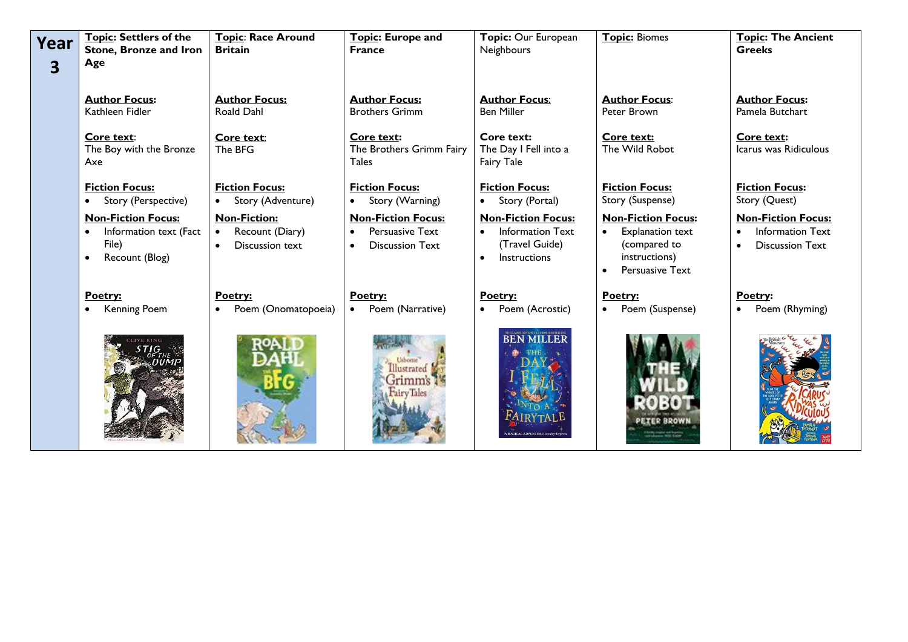| Year                    | Topic: Settlers of the<br><b>Stone, Bronze and Iron</b>                                     | Topic: Race Around<br><b>Britain</b>                                   | Topic: Europe and<br><b>France</b>                                                         | Topic: Our European<br>Neighbours                                                                   | <b>Topic: Biomes</b>                                                                                                               | <b>Topic: The Ancient</b><br><b>Greeks</b>                                                               |
|-------------------------|---------------------------------------------------------------------------------------------|------------------------------------------------------------------------|--------------------------------------------------------------------------------------------|-----------------------------------------------------------------------------------------------------|------------------------------------------------------------------------------------------------------------------------------------|----------------------------------------------------------------------------------------------------------|
| $\overline{\mathbf{3}}$ | Age                                                                                         |                                                                        |                                                                                            |                                                                                                     |                                                                                                                                    |                                                                                                          |
|                         | <b>Author Focus:</b><br>Kathleen Fidler                                                     | <b>Author Focus:</b><br>Roald Dahl                                     | <b>Author Focus:</b><br><b>Brothers Grimm</b>                                              | <b>Author Focus:</b><br><b>Ben Miller</b>                                                           | <b>Author Focus:</b><br>Peter Brown                                                                                                | <b>Author Focus:</b><br>Pamela Butchart                                                                  |
|                         | Core text:<br>The Boy with the Bronze<br>Axe                                                | Core text:<br>The BFG                                                  | Core text:<br>The Brothers Grimm Fairy<br><b>Tales</b>                                     | Core text:<br>The Day I Fell into a<br>Fairy Tale                                                   | Core text:<br>The Wild Robot                                                                                                       | Core text:<br>Icarus was Ridiculous                                                                      |
|                         | <b>Fiction Focus:</b><br>Story (Perspective)<br>$\bullet$                                   | <b>Fiction Focus:</b><br>Story (Adventure)                             | <b>Fiction Focus:</b><br>Story (Warning)                                                   | <b>Fiction Focus:</b><br>Story (Portal)<br>$\bullet$                                                | <b>Fiction Focus:</b><br>Story (Suspense)                                                                                          | <b>Fiction Focus:</b><br>Story (Quest)                                                                   |
|                         | <b>Non-Fiction Focus:</b><br>Information text (Fact<br>File)<br>Recount (Blog)<br>$\bullet$ | <b>Non-Fiction:</b><br>Recount (Diary)<br>$\bullet$<br>Discussion text | <b>Non-Fiction Focus:</b><br><b>Persuasive Text</b><br>$\bullet$<br><b>Discussion Text</b> | <b>Non-Fiction Focus:</b><br><b>Information Text</b><br>(Travel Guide)<br>Instructions<br>$\bullet$ | <b>Non-Fiction Focus:</b><br>Explanation text<br>$\bullet$<br>(compared to<br>instructions)<br><b>Persuasive Text</b><br>$\bullet$ | <b>Non-Fiction Focus:</b><br><b>Information Text</b><br>$\bullet$<br><b>Discussion Text</b><br>$\bullet$ |
|                         | Poetry:<br>Kenning Poem                                                                     | Poetry:<br>Poem (Onomatopoeia)<br>$\bullet$                            | Poetry:<br>Poem (Narrative)<br>$\bullet$                                                   | Poetry:<br>Poem (Acrostic)<br>$\bullet$                                                             | Poetry:<br>Poem (Suspense)<br>$\bullet$                                                                                            | Poetry:<br>Poem (Rhyming)<br>$\bullet$                                                                   |
|                         |                                                                                             |                                                                        | Illustrated<br>Grimm's<br>airy Tales                                                       | <b>BEN MILLER</b><br><b>MAGICAL ADVENTURE Sunday Expr</b>                                           | <b>ETER BROW!</b>                                                                                                                  |                                                                                                          |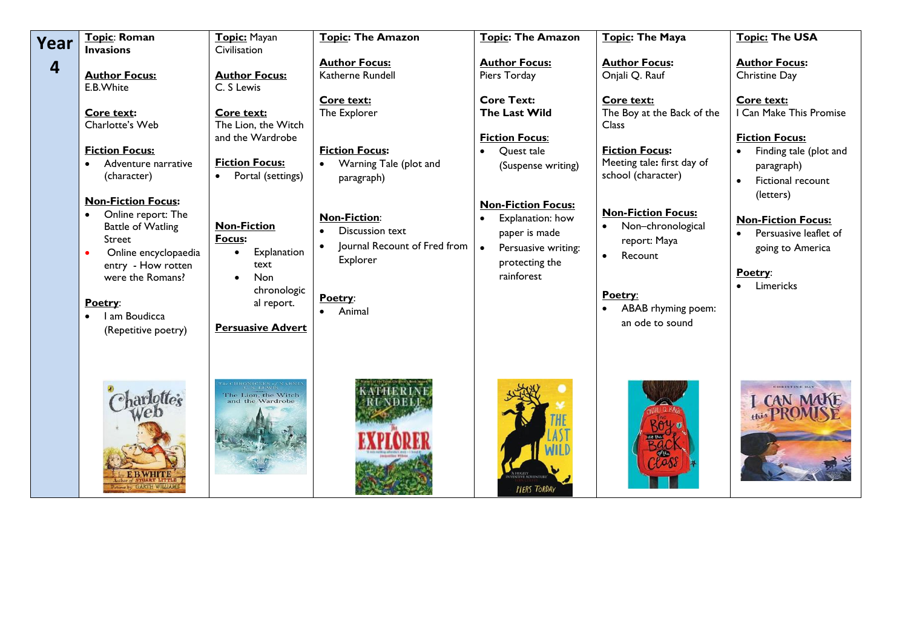| Year | Topic: Roman<br><b>Invasions</b>                                                                                                                                                                                  | Topic: Mayan<br>Civilisation                                                                                                              | <b>Topic: The Amazon</b>                                                                                                                | <b>Topic: The Amazon</b>                                                                                                                             | Topic: The Maya                                                                                                                                                                 | <b>Topic: The USA</b>                                                                                                                                                                                       |
|------|-------------------------------------------------------------------------------------------------------------------------------------------------------------------------------------------------------------------|-------------------------------------------------------------------------------------------------------------------------------------------|-----------------------------------------------------------------------------------------------------------------------------------------|------------------------------------------------------------------------------------------------------------------------------------------------------|---------------------------------------------------------------------------------------------------------------------------------------------------------------------------------|-------------------------------------------------------------------------------------------------------------------------------------------------------------------------------------------------------------|
| 4    | <b>Author Focus:</b><br>E.B. White<br>Core text:<br>Charlotte's Web<br><b>Fiction Focus:</b><br>Adventure narrative<br>(character)                                                                                | <b>Author Focus:</b><br>C. S Lewis<br>Core text:<br>The Lion, the Witch<br>and the Wardrobe<br><b>Fiction Focus:</b><br>Portal (settings) | <b>Author Focus:</b><br>Katherne Rundell<br>Core text:<br>The Explorer<br><b>Fiction Focus:</b><br>Warning Tale (plot and<br>paragraph) | <b>Author Focus:</b><br>Piers Torday<br><b>Core Text:</b><br>The Last Wild<br><b>Fiction Focus:</b><br>Quest tale<br>$\bullet$<br>(Suspense writing) | <b>Author Focus:</b><br>Onjali Q. Rauf<br>Core text:<br>The Boy at the Back of the<br><b>Class</b><br><b>Fiction Focus:</b><br>Meeting tale: first day of<br>school (character) | <b>Author Focus:</b><br>Christine Day<br>Core text:<br>I Can Make This Promise<br><b>Fiction Focus:</b><br>Finding tale (plot and<br>$\bullet$<br>paragraph)<br>Fictional recount<br>$\bullet$<br>(letters) |
|      | <b>Non-Fiction Focus:</b><br>Online report: The<br><b>Battle of Watling</b><br><b>Street</b><br>Online encyclopaedia<br>entry - How rotten<br>were the Romans?<br>Poetry:<br>I am Boudicca<br>(Repetitive poetry) | <b>Non-Fiction</b><br>Focus:<br>Explanation<br>$\bullet$<br>text<br>Non<br>chronologic<br>al report.<br><b>Persuasive Advert</b>          | <b>Non-Fiction:</b><br><b>Discussion text</b><br>Journal Recount of Fred from<br>Explorer<br>Poetry:<br>Animal                          | <b>Non-Fiction Focus:</b><br>Explanation: how<br>paper is made<br>Persuasive writing:<br>protecting the<br>rainforest                                | <b>Non-Fiction Focus:</b><br>• Non-chronological<br>report: Maya<br>Recount<br>$\bullet$<br>Poetry:<br>ABAB rhyming poem:<br>an ode to sound                                    | <b>Non-Fiction Focus:</b><br>Persuasive leaflet of<br>going to America<br>Poetry:<br>Limericks                                                                                                              |
|      | charlottes                                                                                                                                                                                                        | The Lion, the Witch<br>and the Wardrobe                                                                                                   |                                                                                                                                         | PIERS TORDAY                                                                                                                                         |                                                                                                                                                                                 | <b>CHRISTINE DAY</b><br>I CAN MAKE                                                                                                                                                                          |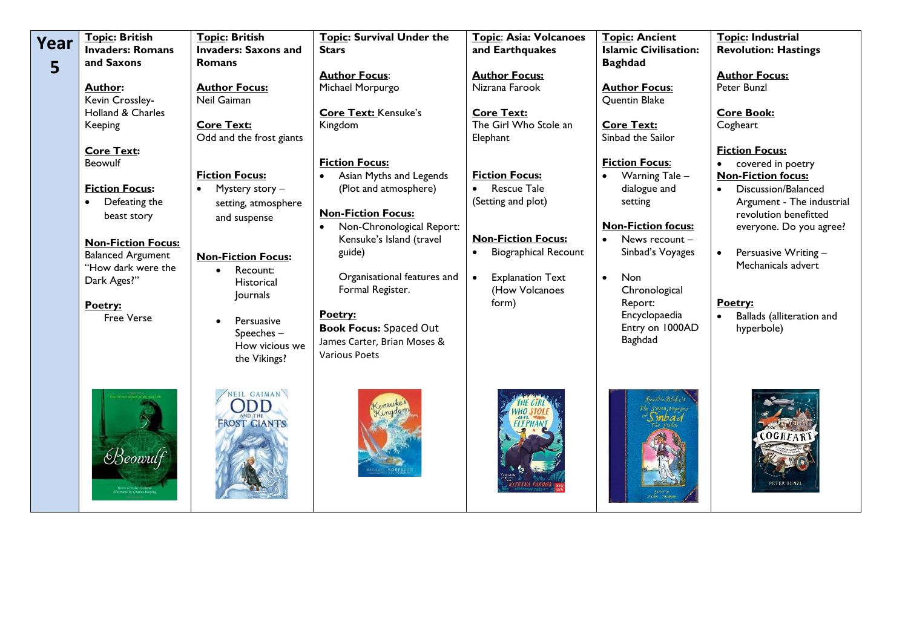| Year<br>5 | <b>Topic: British</b><br><b>Invaders: Romans</b><br>and Saxons<br><b>Author:</b><br>Kevin Crossley-<br><b>Holland &amp; Charles</b><br>Keeping<br><b>Core Text:</b><br>Beowulf<br><b>Fiction Focus:</b><br>Defeating the<br>$\bullet$<br>beast story<br><b>Non-Fiction Focus:</b><br><b>Balanced Argument</b><br>"How dark were the | Topic: British<br><b>Invaders: Saxons and</b><br>Romans<br><b>Author Focus:</b><br>Neil Gaiman<br><b>Core Text:</b><br>Odd and the frost giants<br><b>Fiction Focus:</b><br>Mystery story -<br>$\bullet$<br>setting, atmosphere<br>and suspense<br><b>Non-Fiction Focus:</b><br>Recount:<br>$\bullet$ | Topic: Survival Under the<br><b>Stars</b><br><b>Author Focus:</b><br>Michael Morpurgo<br><b>Core Text: Kensuke's</b><br>Kingdom<br><b>Fiction Focus:</b><br>Asian Myths and Legends<br>$\bullet$<br>(Plot and atmosphere)<br><b>Non-Fiction Focus:</b><br>Non-Chronological Report:<br>$\bullet$<br>Kensuke's Island (travel<br>guide) | Topic: Asia: Volcanoes<br>and Earthquakes<br><b>Author Focus:</b><br>Nizrana Farook<br><b>Core Text:</b><br>The Girl Who Stole an<br>Elephant<br><b>Fiction Focus:</b><br><b>Rescue Tale</b><br>$\bullet$<br>(Setting and plot)<br><b>Non-Fiction Focus:</b><br><b>Biographical Recount</b><br>$\bullet$ | <b>Topic: Ancient</b><br><b>Islamic Civilisation:</b><br><b>Baghdad</b><br><b>Author Focus:</b><br>Quentin Blake<br><b>Core Text:</b><br>Sinbad the Sailor<br><b>Fiction Focus:</b><br>Warning Tale -<br>$\bullet$<br>dialogue and<br>setting<br><b>Non-Fiction focus:</b><br>News recount -<br>$\bullet$<br>Sinbad's Voyages | Topic: Industrial<br><b>Revolution: Hastings</b><br><b>Author Focus:</b><br>Peter Bunzl<br><b>Core Book:</b><br>Cogheart<br><b>Fiction Focus:</b><br>covered in poetry<br>$\bullet$<br><b>Non-Fiction focus:</b><br>Discussion/Balanced<br>$\bullet$<br>Argument - The industrial<br>revolution benefitted<br>everyone. Do you agree?<br>Persuasive Writing -<br>$\bullet$<br>Mechanicals advert |
|-----------|-------------------------------------------------------------------------------------------------------------------------------------------------------------------------------------------------------------------------------------------------------------------------------------------------------------------------------------|-------------------------------------------------------------------------------------------------------------------------------------------------------------------------------------------------------------------------------------------------------------------------------------------------------|----------------------------------------------------------------------------------------------------------------------------------------------------------------------------------------------------------------------------------------------------------------------------------------------------------------------------------------|----------------------------------------------------------------------------------------------------------------------------------------------------------------------------------------------------------------------------------------------------------------------------------------------------------|-------------------------------------------------------------------------------------------------------------------------------------------------------------------------------------------------------------------------------------------------------------------------------------------------------------------------------|--------------------------------------------------------------------------------------------------------------------------------------------------------------------------------------------------------------------------------------------------------------------------------------------------------------------------------------------------------------------------------------------------|
|           | Dark Ages?"<br>Poetry:<br><b>Free Verse</b><br>$B$ eowulf                                                                                                                                                                                                                                                                           | Historical<br>Journals<br>Persuasive<br>Speeches-<br>How vicious we<br>the Vikings?<br>NEIL GAIMAN<br>ODD<br><b>ND THE</b><br><b>FROST GIANTS</b>                                                                                                                                                     | Organisational features and<br>Formal Register.<br>Poetry:<br><b>Book Focus: Spaced Out</b><br>James Carter, Brian Moses &<br><b>Various Poets</b>                                                                                                                                                                                     | <b>Explanation Text</b><br>$\bullet$<br>(How Volcanoes<br>form)                                                                                                                                                                                                                                          | <b>Non</b><br>$\bullet$<br>Chronological<br>Report:<br>Encyclopaedia<br>Entry on 1000AD<br>Baghdad<br>Guestin Real of                                                                                                                                                                                                         | Poetry:<br>Ballads (alliteration and<br>$\bullet$<br>hyperbole)<br>OGHFAR                                                                                                                                                                                                                                                                                                                        |